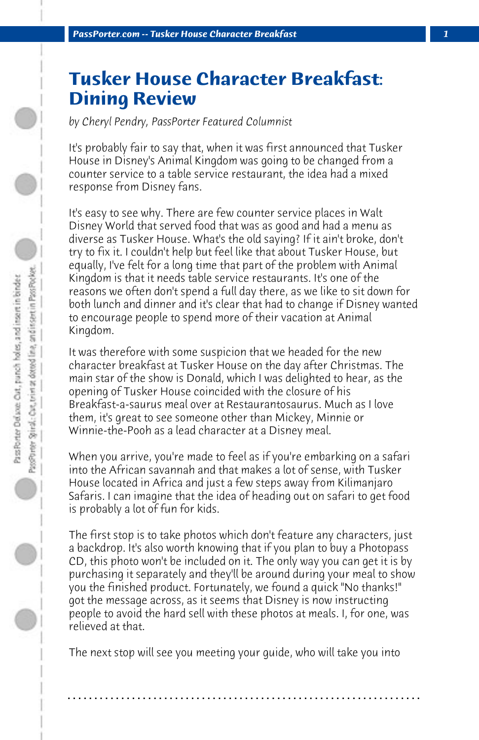## **Tusker House Character Breakfast: Dining Review**

*by Cheryl Pendry, PassPorter Featured Columnist*

It's probably fair to say that, when it was first announced that Tusker House in Disney's Animal Kingdom was going to be changed from a counter service to a table service restaurant, the idea had a mixed response from Disney fans.

It's easy to see why. There are few counter service places in Walt Disney World that served food that was as good and had a menu as diverse as Tusker House. What's the old saying? If it ain't broke, don't try to fix it. I couldn't help but feel like that about Tusker House, but equally, I've felt for a long time that part of the problem with Animal Kingdom is that it needs table service restaurants. It's one of the reasons we often don't spend a full day there, as we like to sit down for both lunch and dinner and it's clear that had to change if Disney wanted to encourage people to spend more of their vacation at Animal Kingdom.

It was therefore with some suspicion that we headed for the new character breakfast at Tusker House on the day after Christmas. The main star of the show is Donald, which I was delighted to hear, as the opening of Tusker House coincided with the closure of his Breakfast-a-saurus meal over at Restaurantosaurus. Much as I love them, it's great to see someone other than Mickey, Minnie or Winnie-the-Pooh as a lead character at a Disney meal.

When you arrive, you're made to feel as if you're embarking on a safari into the African savannah and that makes a lot of sense, with Tusker House located in Africa and just a few steps away from Kilimanjaro Safaris. I can imagine that the idea of heading out on safari to get food is probably a lot of fun for kids.

The first stop is to take photos which don't feature any characters, just a backdrop. It's also worth knowing that if you plan to buy a Photopass CD, this photo won't be included on it. The only way you can get it is by purchasing it separately and they'll be around during your meal to show you the finished product. Fortunately, we found a quick "No thanks!" got the message across, as it seems that Disney is now instructing people to avoid the hard sell with these photos at meals. I, for one, was relieved at that.

The next stop will see you meeting your guide, who will take you into

**. . . . . . . . . . . . . . . . . . . . . . . . . . . . . . . . . . . . . . . . . . . . . . . . . . . . . . . . . . . . . . . . . .**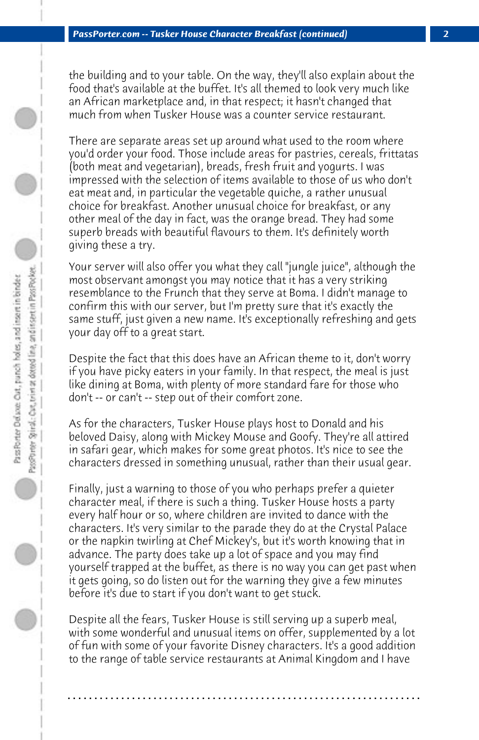the building and to your table. On the way, they'll also explain about the food that's available at the buffet. It's all themed to look very much like an African marketplace and, in that respect; it hasn't changed that much from when Tusker House was a counter service restaurant.

There are separate areas set up around what used to the room where you'd order your food. Those include areas for pastries, cereals, frittatas (both meat and vegetarian), breads, fresh fruit and yogurts. I was impressed with the selection of items available to those of us who don't eat meat and, in particular the vegetable quiche, a rather unusual choice for breakfast. Another unusual choice for breakfast, or any other meal of the day in fact, was the orange bread. They had some superb breads with beautiful flavours to them. It's definitely worth giving these a try.

Your server will also offer you what they call "jungle juice", although the most observant amongst you may notice that it has a very striking resemblance to the Frunch that they serve at Boma. I didn't manage to confirm this with our server, but I'm pretty sure that it's exactly the same stuff, just given a new name. It's exceptionally refreshing and gets your day off to a great start.

Despite the fact that this does have an African theme to it, don't worry if you have picky eaters in your family. In that respect, the meal is just like dining at Boma, with plenty of more standard fare for those who don't -- or can't -- step out of their comfort zone.

As for the characters, Tusker House plays host to Donald and his beloved Daisy, along with Mickey Mouse and Goofy. They're all attired in safari gear, which makes for some great photos. It's nice to see the characters dressed in something unusual, rather than their usual gear.

Finally, just a warning to those of you who perhaps prefer a quieter character meal, if there is such a thing. Tusker House hosts a party every half hour or so, where children are invited to dance with the characters. It's very similar to the parade they do at the Crystal Palace or the napkin twirling at Chef Mickey's, but it's worth knowing that in advance. The party does take up a lot of space and you may find yourself trapped at the buffet, as there is no way you can get past when it gets going, so do listen out for the warning they give a few minutes before it's due to start if you don't want to get stuck.

Despite all the fears, Tusker House is still serving up a superb meal, with some wonderful and unusual items on offer, supplemented by a lot of fun with some of your favorite Disney characters. It's a good addition to the range of table service restaurants at Animal Kingdom and I have

**. . . . . . . . . . . . . . . . . . . . . . . . . . . . . . . . . . . . . . . . . . . . . . . . . . . . . . . . . . . . . . . . . .**